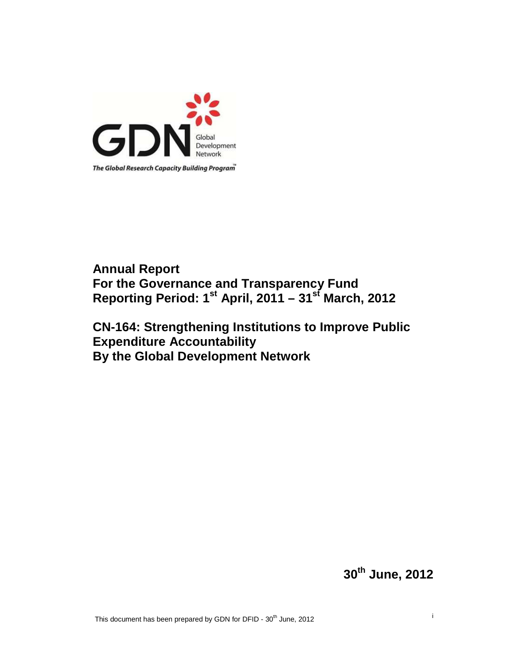

# **Annual Report For the Governance and Transparency Fund Reporting Period: 1st April, 2011 – 31st March, 2012**

## **CN-164: Strengthening Institutions to Improve Public Expenditure Accountability By the Global Development Network**

**30th June, 2012**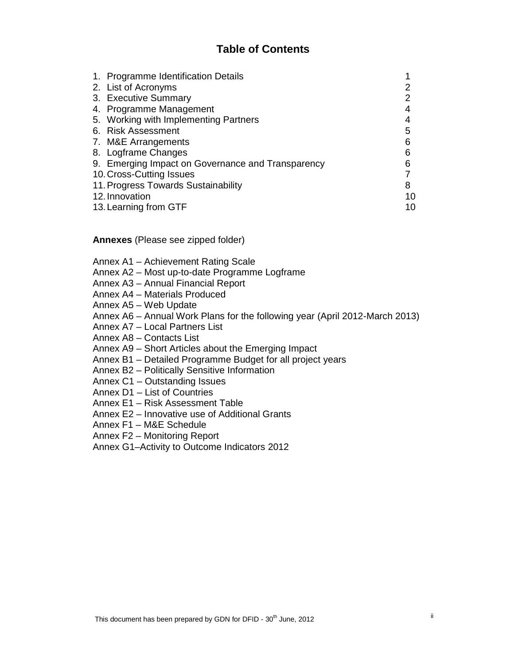## **Table of Contents**

|                | 1. Programme Identification Details               |    |
|----------------|---------------------------------------------------|----|
|                | 2. List of Acronyms                               |    |
|                | 3. Executive Summary                              | 2  |
|                | 4. Programme Management                           |    |
|                | 5. Working with Implementing Partners             |    |
|                | 6. Risk Assessment                                | 5  |
|                | 7. M&E Arrangements                               | 6  |
|                | 8. Logframe Changes                               | 6  |
|                | 9. Emerging Impact on Governance and Transparency | 6  |
|                | 10. Cross-Cutting Issues                          |    |
|                | 11. Progress Towards Sustainability               | 8  |
| 12. Innovation |                                                   | 10 |
|                | 13. Learning from GTF                             |    |

**Annexes** (Please see zipped folder)

- Annex A1 Achievement Rating Scale
- Annex A2 Most up-to-date Programme Logframe
- Annex A3 Annual Financial Report
- Annex A4 Materials Produced
- Annex A5 Web Update
- Annex A6 Annual Work Plans for the following year (April 2012-March 2013)
- Annex A7 Local Partners List
- Annex A8 Contacts List
- Annex A9 Short Articles about the Emerging Impact
- Annex B1 Detailed Programme Budget for all project years
- Annex B2 Politically Sensitive Information
- Annex C1 Outstanding Issues
- Annex D1 List of Countries
- Annex E1 Risk Assessment Table
- Annex E2 Innovative use of Additional Grants
- Annex F1 M&E Schedule
- Annex F2 Monitoring Report
- Annex G1–Activity to Outcome Indicators 2012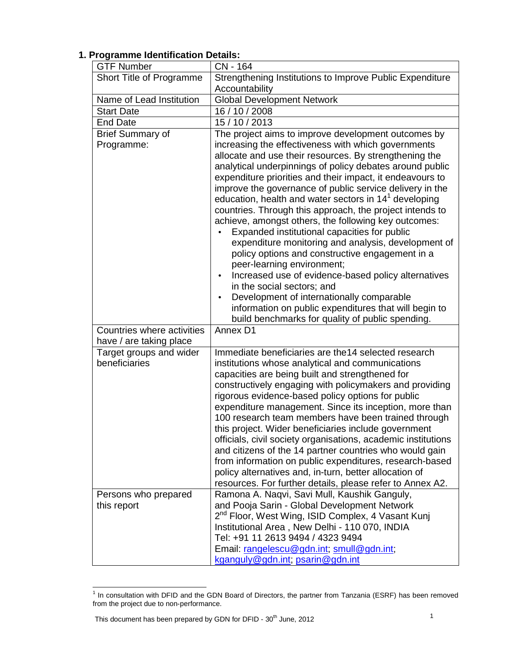#### GTF Number CN - 164 Short Title of Programme  $\vert$  Strengthening Institutions to Improve Public Expenditure **Accountability** Name of Lead Institution | Global Development Network Start Date 16 / 16 / 10 / 2008 End Date 15/10/2013 Brief Summary of Programme: The project aims to improve development outcomes by increasing the effectiveness with which governments allocate and use their resources. By strengthening the analytical underpinnings of policy debates around public expenditure priorities and their impact, it endeavours to improve the governance of public service delivery in the education, health and water sectors in  $14^1$  developing countries. Through this approach, the project intends to achieve, amongst others, the following key outcomes: • Expanded institutional capacities for public expenditure monitoring and analysis, development of policy options and constructive engagement in a peer-learning environment; • Increased use of evidence-based policy alternatives in the social sectors; and • Development of internationally comparable information on public expenditures that will begin to build benchmarks for quality of public spending. Countries where activities have / are taking place Annex D1 Target groups and wider beneficiaries Immediate beneficiaries are the14 selected research institutions whose analytical and communications capacities are being built and strengthened for constructively engaging with policymakers and providing rigorous evidence-based policy options for public expenditure management. Since its inception, more than 100 research team members have been trained through this project. Wider beneficiaries include government officials, civil society organisations, academic institutions and citizens of the 14 partner countries who would gain from information on public expenditures, research-based policy alternatives and, in-turn, better allocation of resources. For further details, please refer to Annex A2. Persons who prepared this report Ramona A. Naqvi, Savi Mull, Kaushik Ganguly, and Pooja Sarin - Global Development Network 2<sup>nd</sup> Floor, West Wing, ISID Complex, 4 Vasant Kunj Institutional Area , New Delhi - 110 070, INDIA Tel: +91 11 2613 9494 / 4323 9494 Email: rangelescu@gdn.int; smull@gdn.int; kganguly@gdn.int; psarin@gdn.int

## **1. Programme Identification Details:**

 1 In consultation with DFID and the GDN Board of Directors, the partner from Tanzania (ESRF) has been removed from the project due to non-performance.

This document has been prepared by GDN for DFID -  $30<sup>th</sup>$  June, 2012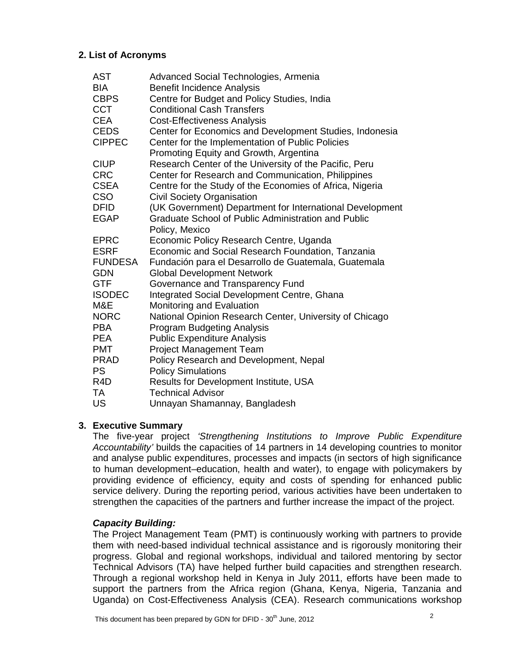## **2. List of Acronyms**

| <b>AST</b>       | Advanced Social Technologies, Armenia                      |
|------------------|------------------------------------------------------------|
| <b>BIA</b>       | <b>Benefit Incidence Analysis</b>                          |
| <b>CBPS</b>      | Centre for Budget and Policy Studies, India                |
| <b>CCT</b>       | <b>Conditional Cash Transfers</b>                          |
| <b>CEA</b>       | <b>Cost-Effectiveness Analysis</b>                         |
| <b>CEDS</b>      | Center for Economics and Development Studies, Indonesia    |
| <b>CIPPEC</b>    | Center for the Implementation of Public Policies           |
|                  | Promoting Equity and Growth, Argentina                     |
| <b>CIUP</b>      | Research Center of the University of the Pacific, Peru     |
| <b>CRC</b>       | Center for Research and Communication, Philippines         |
| <b>CSEA</b>      | Centre for the Study of the Economies of Africa, Nigeria   |
| <b>CSO</b>       | <b>Civil Society Organisation</b>                          |
| <b>DFID</b>      | (UK Government) Department for International Development   |
| <b>EGAP</b>      | <b>Graduate School of Public Administration and Public</b> |
|                  | Policy, Mexico                                             |
| <b>EPRC</b>      | Economic Policy Research Centre, Uganda                    |
| <b>ESRF</b>      | Economic and Social Research Foundation, Tanzania          |
| <b>FUNDESA</b>   | Fundación para el Desarrollo de Guatemala, Guatemala       |
| <b>GDN</b>       | <b>Global Development Network</b>                          |
| <b>GTF</b>       | Governance and Transparency Fund                           |
| <b>ISODEC</b>    | Integrated Social Development Centre, Ghana                |
| M&E              | Monitoring and Evaluation                                  |
| <b>NORC</b>      | National Opinion Research Center, University of Chicago    |
| <b>PBA</b>       | <b>Program Budgeting Analysis</b>                          |
| <b>PEA</b>       | <b>Public Expenditure Analysis</b>                         |
| <b>PMT</b>       | <b>Project Management Team</b>                             |
| <b>PRAD</b>      | Policy Research and Development, Nepal                     |
| <b>PS</b>        | <b>Policy Simulations</b>                                  |
| R <sub>4</sub> D | Results for Development Institute, USA                     |
| TA               | <b>Technical Advisor</b>                                   |
| US               | Unnayan Shamannay, Bangladesh                              |

## **3. Executive Summary**

The five-year project 'Strengthening Institutions to Improve Public Expenditure Accountability' builds the capacities of 14 partners in 14 developing countries to monitor and analyse public expenditures, processes and impacts (in sectors of high significance to human development–education, health and water), to engage with policymakers by providing evidence of efficiency, equity and costs of spending for enhanced public service delivery. During the reporting period, various activities have been undertaken to strengthen the capacities of the partners and further increase the impact of the project.

## **Capacity Building:**

The Project Management Team (PMT) is continuously working with partners to provide them with need-based individual technical assistance and is rigorously monitoring their progress. Global and regional workshops, individual and tailored mentoring by sector Technical Advisors (TA) have helped further build capacities and strengthen research. Through a regional workshop held in Kenya in July 2011, efforts have been made to support the partners from the Africa region (Ghana, Kenya, Nigeria, Tanzania and Uganda) on Cost-Effectiveness Analysis (CEA). Research communications workshop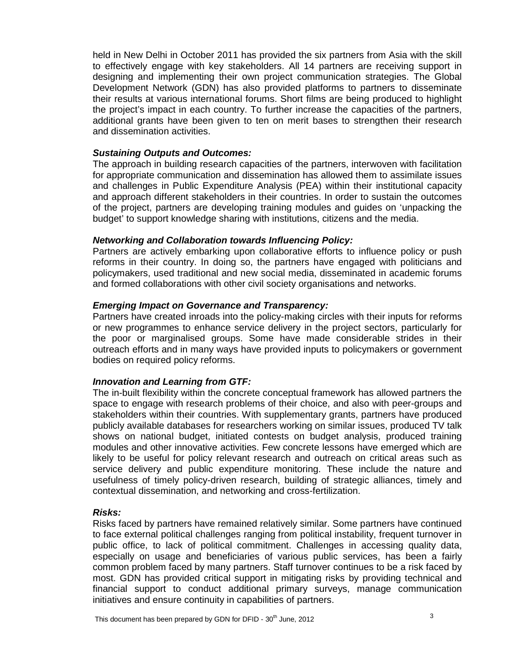held in New Delhi in October 2011 has provided the six partners from Asia with the skill to effectively engage with key stakeholders. All 14 partners are receiving support in designing and implementing their own project communication strategies. The Global Development Network (GDN) has also provided platforms to partners to disseminate their results at various international forums. Short films are being produced to highlight the project's impact in each country. To further increase the capacities of the partners, additional grants have been given to ten on merit bases to strengthen their research and dissemination activities.

#### **Sustaining Outputs and Outcomes:**

The approach in building research capacities of the partners, interwoven with facilitation for appropriate communication and dissemination has allowed them to assimilate issues and challenges in Public Expenditure Analysis (PEA) within their institutional capacity and approach different stakeholders in their countries. In order to sustain the outcomes of the project, partners are developing training modules and guides on 'unpacking the budget' to support knowledge sharing with institutions, citizens and the media.

#### **Networking and Collaboration towards Influencing Policy:**

Partners are actively embarking upon collaborative efforts to influence policy or push reforms in their country. In doing so, the partners have engaged with politicians and policymakers, used traditional and new social media, disseminated in academic forums and formed collaborations with other civil society organisations and networks.

#### **Emerging Impact on Governance and Transparency:**

Partners have created inroads into the policy-making circles with their inputs for reforms or new programmes to enhance service delivery in the project sectors, particularly for the poor or marginalised groups. Some have made considerable strides in their outreach efforts and in many ways have provided inputs to policymakers or government bodies on required policy reforms.

#### **Innovation and Learning from GTF:**

The in-built flexibility within the concrete conceptual framework has allowed partners the space to engage with research problems of their choice, and also with peer-groups and stakeholders within their countries. With supplementary grants, partners have produced publicly available databases for researchers working on similar issues, produced TV talk shows on national budget, initiated contests on budget analysis, produced training modules and other innovative activities. Few concrete lessons have emerged which are likely to be useful for policy relevant research and outreach on critical areas such as service delivery and public expenditure monitoring. These include the nature and usefulness of timely policy-driven research, building of strategic alliances, timely and contextual dissemination, and networking and cross-fertilization.

#### **Risks:**

Risks faced by partners have remained relatively similar. Some partners have continued to face external political challenges ranging from political instability, frequent turnover in public office, to lack of political commitment. Challenges in accessing quality data, especially on usage and beneficiaries of various public services, has been a fairly common problem faced by many partners. Staff turnover continues to be a risk faced by most. GDN has provided critical support in mitigating risks by providing technical and financial support to conduct additional primary surveys, manage communication initiatives and ensure continuity in capabilities of partners.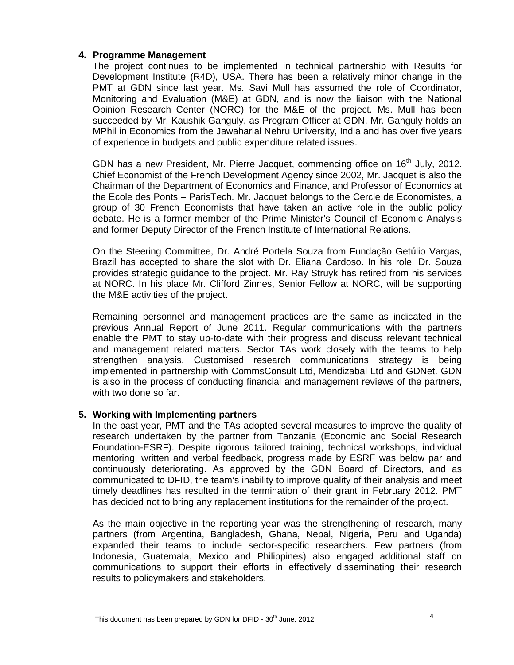## **4. Programme Management**

The project continues to be implemented in technical partnership with Results for Development Institute (R4D), USA. There has been a relatively minor change in the PMT at GDN since last year. Ms. Savi Mull has assumed the role of Coordinator, Monitoring and Evaluation (M&E) at GDN, and is now the liaison with the National Opinion Research Center (NORC) for the M&E of the project. Ms. Mull has been succeeded by Mr. Kaushik Ganguly, as Program Officer at GDN. Mr. Ganguly holds an MPhil in Economics from the Jawaharlal Nehru University, India and has over five years of experience in budgets and public expenditure related issues.

GDN has a new President, Mr. Pierre Jacquet, commencing office on 16<sup>th</sup> July, 2012. Chief Economist of the French Development Agency since 2002, Mr. Jacquet is also the Chairman of the Department of Economics and Finance, and Professor of Economics at the Ecole des Ponts – ParisTech. Mr. Jacquet belongs to the Cercle de Economistes, a group of 30 French Economists that have taken an active role in the public policy debate. He is a former member of the Prime Minister's Council of Economic Analysis and former Deputy Director of the French Institute of International Relations.

On the Steering Committee, Dr. André Portela Souza from Fundação Getúlio Vargas, Brazil has accepted to share the slot with Dr. Eliana Cardoso. In his role, Dr. Souza provides strategic guidance to the project. Mr. Ray Struyk has retired from his services at NORC. In his place Mr. Clifford Zinnes, Senior Fellow at NORC, will be supporting the M&E activities of the project.

Remaining personnel and management practices are the same as indicated in the previous Annual Report of June 2011. Regular communications with the partners enable the PMT to stay up-to-date with their progress and discuss relevant technical and management related matters. Sector TAs work closely with the teams to help strengthen analysis. Customised research communications strategy is being implemented in partnership with CommsConsult Ltd, Mendizabal Ltd and GDNet. GDN is also in the process of conducting financial and management reviews of the partners, with two done so far.

## **5. Working with Implementing partners**

In the past year, PMT and the TAs adopted several measures to improve the quality of research undertaken by the partner from Tanzania (Economic and Social Research Foundation-ESRF). Despite rigorous tailored training, technical workshops, individual mentoring, written and verbal feedback, progress made by ESRF was below par and continuously deteriorating. As approved by the GDN Board of Directors, and as communicated to DFID, the team's inability to improve quality of their analysis and meet timely deadlines has resulted in the termination of their grant in February 2012. PMT has decided not to bring any replacement institutions for the remainder of the project.

As the main objective in the reporting year was the strengthening of research, many partners (from Argentina, Bangladesh, Ghana, Nepal, Nigeria, Peru and Uganda) expanded their teams to include sector-specific researchers. Few partners (from Indonesia, Guatemala, Mexico and Philippines) also engaged additional staff on communications to support their efforts in effectively disseminating their research results to policymakers and stakeholders.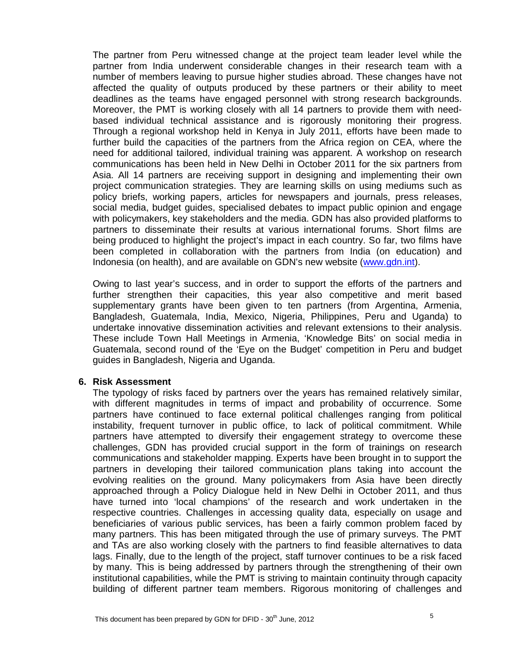The partner from Peru witnessed change at the project team leader level while the partner from India underwent considerable changes in their research team with a number of members leaving to pursue higher studies abroad. These changes have not affected the quality of outputs produced by these partners or their ability to meet deadlines as the teams have engaged personnel with strong research backgrounds. Moreover, the PMT is working closely with all 14 partners to provide them with needbased individual technical assistance and is rigorously monitoring their progress. Through a regional workshop held in Kenya in July 2011, efforts have been made to further build the capacities of the partners from the Africa region on CEA, where the need for additional tailored, individual training was apparent. A workshop on research communications has been held in New Delhi in October 2011 for the six partners from Asia. All 14 partners are receiving support in designing and implementing their own project communication strategies. They are learning skills on using mediums such as policy briefs, working papers, articles for newspapers and journals, press releases, social media, budget guides, specialised debates to impact public opinion and engage with policymakers, key stakeholders and the media. GDN has also provided platforms to partners to disseminate their results at various international forums. Short films are being produced to highlight the project's impact in each country. So far, two films have been completed in collaboration with the partners from India (on education) and Indonesia (on health), and are available on GDN's new website (www.gdn.int).

Owing to last year's success, and in order to support the efforts of the partners and further strengthen their capacities, this year also competitive and merit based supplementary grants have been given to ten partners (from Argentina, Armenia, Bangladesh, Guatemala, India, Mexico, Nigeria, Philippines, Peru and Uganda) to undertake innovative dissemination activities and relevant extensions to their analysis. These include Town Hall Meetings in Armenia, 'Knowledge Bits' on social media in Guatemala, second round of the 'Eye on the Budget' competition in Peru and budget guides in Bangladesh, Nigeria and Uganda.

#### **6. Risk Assessment**

The typology of risks faced by partners over the years has remained relatively similar, with different magnitudes in terms of impact and probability of occurrence. Some partners have continued to face external political challenges ranging from political instability, frequent turnover in public office, to lack of political commitment. While partners have attempted to diversify their engagement strategy to overcome these challenges, GDN has provided crucial support in the form of trainings on research communications and stakeholder mapping. Experts have been brought in to support the partners in developing their tailored communication plans taking into account the evolving realities on the ground. Many policymakers from Asia have been directly approached through a Policy Dialogue held in New Delhi in October 2011, and thus have turned into 'local champions' of the research and work undertaken in the respective countries. Challenges in accessing quality data, especially on usage and beneficiaries of various public services, has been a fairly common problem faced by many partners. This has been mitigated through the use of primary surveys. The PMT and TAs are also working closely with the partners to find feasible alternatives to data lags. Finally, due to the length of the project, staff turnover continues to be a risk faced by many. This is being addressed by partners through the strengthening of their own institutional capabilities, while the PMT is striving to maintain continuity through capacity building of different partner team members. Rigorous monitoring of challenges and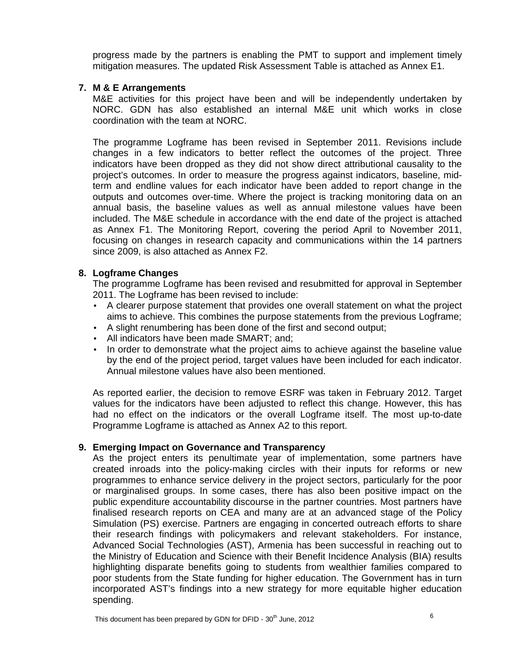progress made by the partners is enabling the PMT to support and implement timely mitigation measures. The updated Risk Assessment Table is attached as Annex E1.

## **7. M & E Arrangements**

M&E activities for this project have been and will be independently undertaken by NORC. GDN has also established an internal M&E unit which works in close coordination with the team at NORC.

The programme Logframe has been revised in September 2011. Revisions include changes in a few indicators to better reflect the outcomes of the project. Three indicators have been dropped as they did not show direct attributional causality to the project's outcomes. In order to measure the progress against indicators, baseline, midterm and endline values for each indicator have been added to report change in the outputs and outcomes over-time. Where the project is tracking monitoring data on an annual basis, the baseline values as well as annual milestone values have been included. The M&E schedule in accordance with the end date of the project is attached as Annex F1. The Monitoring Report, covering the period April to November 2011, focusing on changes in research capacity and communications within the 14 partners since 2009, is also attached as Annex F2.

## **8. Logframe Changes**

The programme Logframe has been revised and resubmitted for approval in September 2011. The Logframe has been revised to include:

- A clearer purpose statement that provides one overall statement on what the project aims to achieve. This combines the purpose statements from the previous Logframe;
- A slight renumbering has been done of the first and second output;
- All indicators have been made SMART; and;
- In order to demonstrate what the project aims to achieve against the baseline value by the end of the project period, target values have been included for each indicator. Annual milestone values have also been mentioned.

As reported earlier, the decision to remove ESRF was taken in February 2012. Target values for the indicators have been adjusted to reflect this change. However, this has had no effect on the indicators or the overall Logframe itself. The most up-to-date Programme Logframe is attached as Annex A2 to this report.

## **9. Emerging Impact on Governance and Transparency**

As the project enters its penultimate year of implementation, some partners have created inroads into the policy-making circles with their inputs for reforms or new programmes to enhance service delivery in the project sectors, particularly for the poor or marginalised groups. In some cases, there has also been positive impact on the public expenditure accountability discourse in the partner countries. Most partners have finalised research reports on CEA and many are at an advanced stage of the Policy Simulation (PS) exercise. Partners are engaging in concerted outreach efforts to share their research findings with policymakers and relevant stakeholders. For instance, Advanced Social Technologies (AST), Armenia has been successful in reaching out to the Ministry of Education and Science with their Benefit Incidence Analysis (BIA) results highlighting disparate benefits going to students from wealthier families compared to poor students from the State funding for higher education. The Government has in turn incorporated AST's findings into a new strategy for more equitable higher education spending.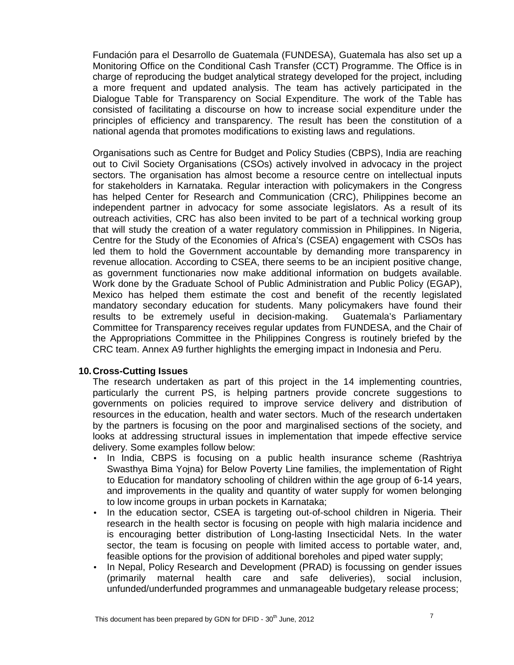Fundación para el Desarrollo de Guatemala (FUNDESA), Guatemala has also set up a Monitoring Office on the Conditional Cash Transfer (CCT) Programme. The Office is in charge of reproducing the budget analytical strategy developed for the project, including a more frequent and updated analysis. The team has actively participated in the Dialogue Table for Transparency on Social Expenditure. The work of the Table has consisted of facilitating a discourse on how to increase social expenditure under the principles of efficiency and transparency. The result has been the constitution of a national agenda that promotes modifications to existing laws and regulations.

Organisations such as Centre for Budget and Policy Studies (CBPS), India are reaching out to Civil Society Organisations (CSOs) actively involved in advocacy in the project sectors. The organisation has almost become a resource centre on intellectual inputs for stakeholders in Karnataka. Regular interaction with policymakers in the Congress has helped Center for Research and Communication (CRC), Philippines become an independent partner in advocacy for some associate legislators. As a result of its outreach activities, CRC has also been invited to be part of a technical working group that will study the creation of a water regulatory commission in Philippines. In Nigeria, Centre for the Study of the Economies of Africa's (CSEA) engagement with CSOs has led them to hold the Government accountable by demanding more transparency in revenue allocation. According to CSEA, there seems to be an incipient positive change, as government functionaries now make additional information on budgets available. Work done by the Graduate School of Public Administration and Public Policy (EGAP), Mexico has helped them estimate the cost and benefit of the recently legislated mandatory secondary education for students. Many policymakers have found their results to be extremely useful in decision-making. Guatemala's Parliamentary Committee for Transparency receives regular updates from FUNDESA, and the Chair of the Appropriations Committee in the Philippines Congress is routinely briefed by the CRC team. Annex A9 further highlights the emerging impact in Indonesia and Peru.

## **10. Cross-Cutting Issues**

The research undertaken as part of this project in the 14 implementing countries, particularly the current PS, is helping partners provide concrete suggestions to governments on policies required to improve service delivery and distribution of resources in the education, health and water sectors. Much of the research undertaken by the partners is focusing on the poor and marginalised sections of the society, and looks at addressing structural issues in implementation that impede effective service delivery. Some examples follow below:

- In India, CBPS is focusing on a public health insurance scheme (Rashtriya Swasthya Bima Yojna) for Below Poverty Line families, the implementation of Right to Education for mandatory schooling of children within the age group of 6-14 years, and improvements in the quality and quantity of water supply for women belonging to low income groups in urban pockets in Karnataka;
- In the education sector, CSEA is targeting out-of-school children in Nigeria. Their research in the health sector is focusing on people with high malaria incidence and is encouraging better distribution of Long-lasting Insecticidal Nets. In the water sector, the team is focusing on people with limited access to portable water, and, feasible options for the provision of additional boreholes and piped water supply;
- In Nepal, Policy Research and Development (PRAD) is focussing on gender issues (primarily maternal health care and safe deliveries), social inclusion, unfunded/underfunded programmes and unmanageable budgetary release process;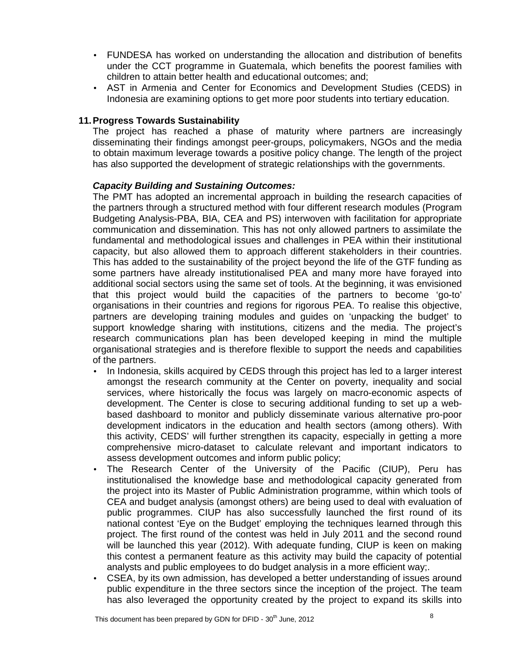- FUNDESA has worked on understanding the allocation and distribution of benefits under the CCT programme in Guatemala, which benefits the poorest families with children to attain better health and educational outcomes; and;
- AST in Armenia and Center for Economics and Development Studies (CEDS) in Indonesia are examining options to get more poor students into tertiary education.

### **11. Progress Towards Sustainability**

The project has reached a phase of maturity where partners are increasingly disseminating their findings amongst peer-groups, policymakers, NGOs and the media to obtain maximum leverage towards a positive policy change. The length of the project has also supported the development of strategic relationships with the governments.

#### **Capacity Building and Sustaining Outcomes:**

The PMT has adopted an incremental approach in building the research capacities of the partners through a structured method with four different research modules (Program Budgeting Analysis-PBA, BIA, CEA and PS) interwoven with facilitation for appropriate communication and dissemination. This has not only allowed partners to assimilate the fundamental and methodological issues and challenges in PEA within their institutional capacity, but also allowed them to approach different stakeholders in their countries. This has added to the sustainability of the project beyond the life of the GTF funding as some partners have already institutionalised PEA and many more have forayed into additional social sectors using the same set of tools. At the beginning, it was envisioned that this project would build the capacities of the partners to become 'go-to' organisations in their countries and regions for rigorous PEA. To realise this objective, partners are developing training modules and guides on 'unpacking the budget' to support knowledge sharing with institutions, citizens and the media. The project's research communications plan has been developed keeping in mind the multiple organisational strategies and is therefore flexible to support the needs and capabilities of the partners.

- In Indonesia, skills acquired by CEDS through this project has led to a larger interest amongst the research community at the Center on poverty, inequality and social services, where historically the focus was largely on macro-economic aspects of development. The Center is close to securing additional funding to set up a webbased dashboard to monitor and publicly disseminate various alternative pro-poor development indicators in the education and health sectors (among others). With this activity, CEDS' will further strengthen its capacity, especially in getting a more comprehensive micro-dataset to calculate relevant and important indicators to assess development outcomes and inform public policy;
- The Research Center of the University of the Pacific (CIUP), Peru has institutionalised the knowledge base and methodological capacity generated from the project into its Master of Public Administration programme, within which tools of CEA and budget analysis (amongst others) are being used to deal with evaluation of public programmes. CIUP has also successfully launched the first round of its national contest 'Eye on the Budget' employing the techniques learned through this project. The first round of the contest was held in July 2011 and the second round will be launched this year (2012). With adequate funding, CIUP is keen on making this contest a permanent feature as this activity may build the capacity of potential analysts and public employees to do budget analysis in a more efficient way;.
- CSEA, by its own admission, has developed a better understanding of issues around public expenditure in the three sectors since the inception of the project. The team has also leveraged the opportunity created by the project to expand its skills into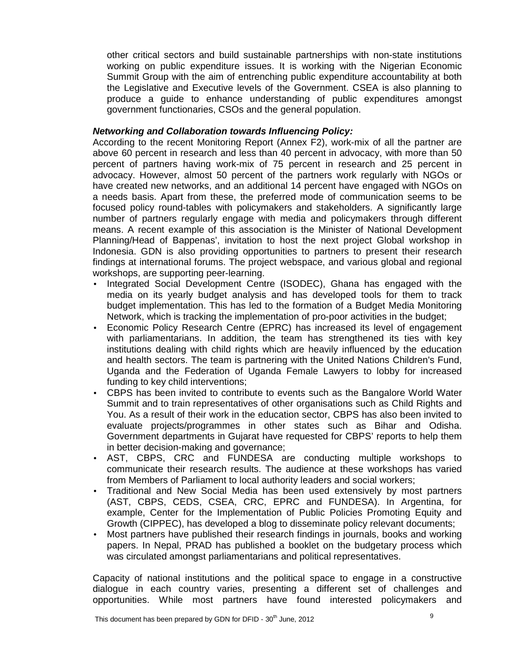other critical sectors and build sustainable partnerships with non-state institutions working on public expenditure issues. It is working with the Nigerian Economic Summit Group with the aim of entrenching public expenditure accountability at both the Legislative and Executive levels of the Government. CSEA is also planning to produce a guide to enhance understanding of public expenditures amongst government functionaries, CSOs and the general population.

### **Networking and Collaboration towards Influencing Policy:**

According to the recent Monitoring Report (Annex F2), work-mix of all the partner are above 60 percent in research and less than 40 percent in advocacy, with more than 50 percent of partners having work-mix of 75 percent in research and 25 percent in advocacy. However, almost 50 percent of the partners work regularly with NGOs or have created new networks, and an additional 14 percent have engaged with NGOs on a needs basis. Apart from these, the preferred mode of communication seems to be focused policy round-tables with policymakers and stakeholders. A significantly large number of partners regularly engage with media and policymakers through different means. A recent example of this association is the Minister of National Development Planning/Head of Bappenas', invitation to host the next project Global workshop in Indonesia. GDN is also providing opportunities to partners to present their research findings at international forums. The project webspace, and various global and regional workshops, are supporting peer-learning.

- Integrated Social Development Centre (ISODEC), Ghana has engaged with the media on its yearly budget analysis and has developed tools for them to track budget implementation. This has led to the formation of a Budget Media Monitoring Network, which is tracking the implementation of pro-poor activities in the budget;
- Economic Policy Research Centre (EPRC) has increased its level of engagement with parliamentarians. In addition, the team has strengthened its ties with key institutions dealing with child rights which are heavily influenced by the education and health sectors. The team is partnering with the United Nations Children's Fund, Uganda and the Federation of Uganda Female Lawyers to lobby for increased funding to key child interventions;
- CBPS has been invited to contribute to events such as the Bangalore World Water Summit and to train representatives of other organisations such as Child Rights and You. As a result of their work in the education sector, CBPS has also been invited to evaluate projects/programmes in other states such as Bihar and Odisha. Government departments in Gujarat have requested for CBPS' reports to help them in better decision-making and governance;
- AST, CBPS, CRC and FUNDESA are conducting multiple workshops to communicate their research results. The audience at these workshops has varied from Members of Parliament to local authority leaders and social workers;
- Traditional and New Social Media has been used extensively by most partners (AST, CBPS, CEDS, CSEA, CRC, EPRC and FUNDESA). In Argentina, for example, Center for the Implementation of Public Policies Promoting Equity and Growth (CIPPEC), has developed a blog to disseminate policy relevant documents;
- Most partners have published their research findings in journals, books and working papers. In Nepal, PRAD has published a booklet on the budgetary process which was circulated amongst parliamentarians and political representatives.

Capacity of national institutions and the political space to engage in a constructive dialogue in each country varies, presenting a different set of challenges and opportunities. While most partners have found interested policymakers and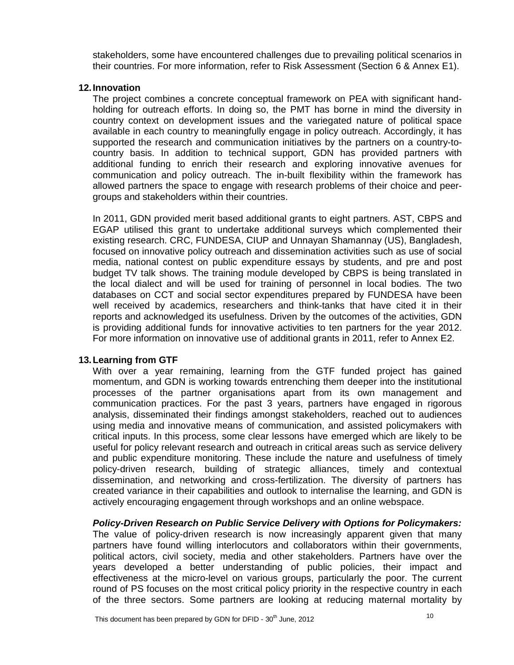stakeholders, some have encountered challenges due to prevailing political scenarios in their countries. For more information, refer to Risk Assessment (Section 6 & Annex E1).

#### **12. Innovation**

The project combines a concrete conceptual framework on PEA with significant handholding for outreach efforts. In doing so, the PMT has borne in mind the diversity in country context on development issues and the variegated nature of political space available in each country to meaningfully engage in policy outreach. Accordingly, it has supported the research and communication initiatives by the partners on a country-tocountry basis. In addition to technical support, GDN has provided partners with additional funding to enrich their research and exploring innovative avenues for communication and policy outreach. The in-built flexibility within the framework has allowed partners the space to engage with research problems of their choice and peergroups and stakeholders within their countries.

In 2011, GDN provided merit based additional grants to eight partners. AST, CBPS and EGAP utilised this grant to undertake additional surveys which complemented their existing research. CRC, FUNDESA, CIUP and Unnayan Shamannay (US), Bangladesh, focused on innovative policy outreach and dissemination activities such as use of social media, national contest on public expenditure essays by students, and pre and post budget TV talk shows. The training module developed by CBPS is being translated in the local dialect and will be used for training of personnel in local bodies. The two databases on CCT and social sector expenditures prepared by FUNDESA have been well received by academics, researchers and think-tanks that have cited it in their reports and acknowledged its usefulness. Driven by the outcomes of the activities, GDN is providing additional funds for innovative activities to ten partners for the year 2012. For more information on innovative use of additional grants in 2011, refer to Annex E2.

## **13. Learning from GTF**

With over a year remaining, learning from the GTF funded project has gained momentum, and GDN is working towards entrenching them deeper into the institutional processes of the partner organisations apart from its own management and communication practices. For the past 3 years, partners have engaged in rigorous analysis, disseminated their findings amongst stakeholders, reached out to audiences using media and innovative means of communication, and assisted policymakers with critical inputs. In this process, some clear lessons have emerged which are likely to be useful for policy relevant research and outreach in critical areas such as service delivery and public expenditure monitoring. These include the nature and usefulness of timely policy-driven research, building of strategic alliances, timely and contextual dissemination, and networking and cross-fertilization. The diversity of partners has created variance in their capabilities and outlook to internalise the learning, and GDN is actively encouraging engagement through workshops and an online webspace.

#### **Policy-Driven Research on Public Service Delivery with Options for Policymakers:**

The value of policy-driven research is now increasingly apparent given that many partners have found willing interlocutors and collaborators within their governments, political actors, civil society, media and other stakeholders. Partners have over the years developed a better understanding of public policies, their impact and effectiveness at the micro-level on various groups, particularly the poor. The current round of PS focuses on the most critical policy priority in the respective country in each of the three sectors. Some partners are looking at reducing maternal mortality by